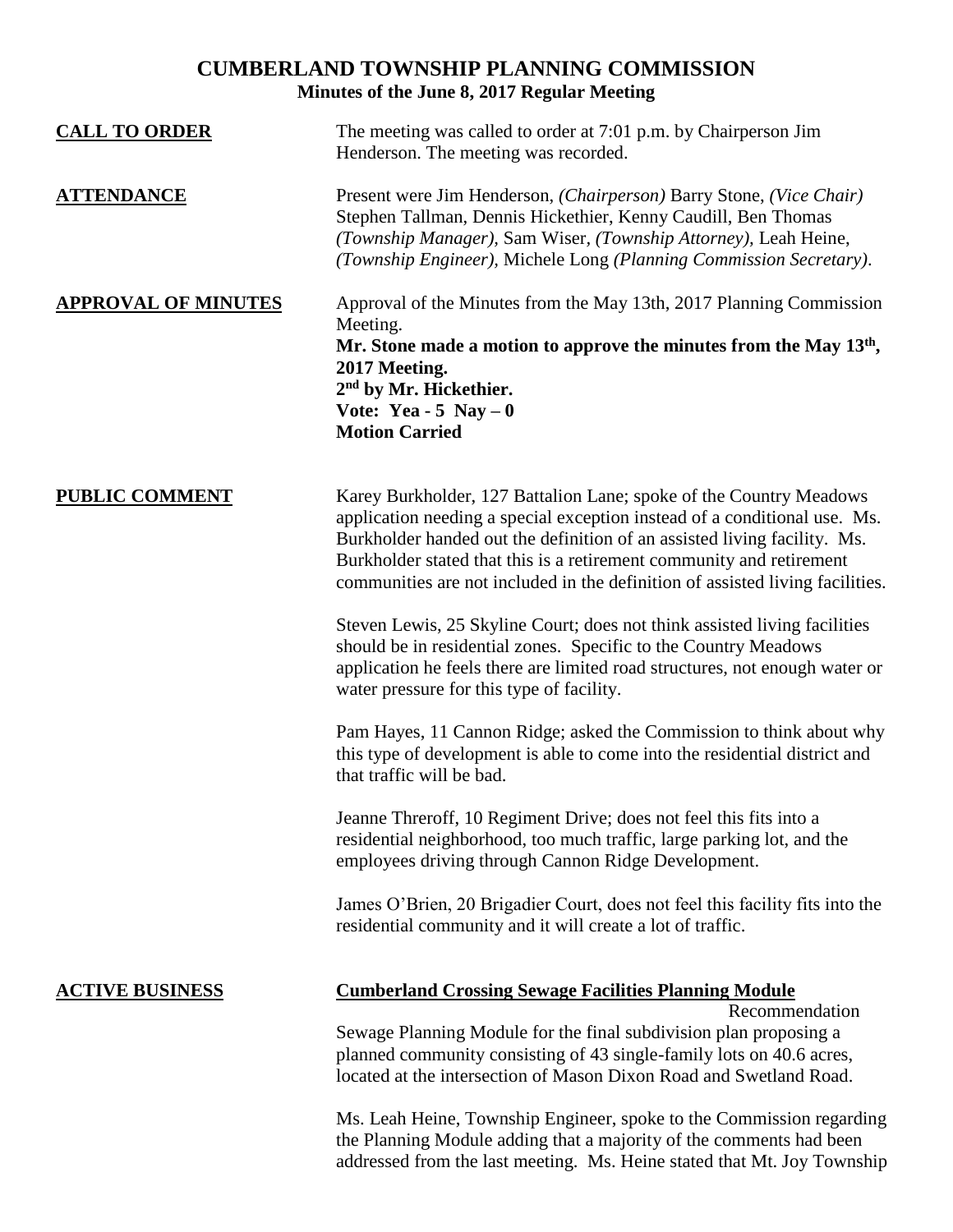# **CUMBERLAND TOWNSHIP PLANNING COMMISSION Minutes of the June 8, 2017 Regular Meeting**

| <b>CALL TO ORDER</b>       | The meeting was called to order at 7:01 p.m. by Chairperson Jim<br>Henderson. The meeting was recorded.                                                                                                                                                                                                                                                                              |
|----------------------------|--------------------------------------------------------------------------------------------------------------------------------------------------------------------------------------------------------------------------------------------------------------------------------------------------------------------------------------------------------------------------------------|
| <b>ATTENDANCE</b>          | Present were Jim Henderson, (Chairperson) Barry Stone, (Vice Chair)<br>Stephen Tallman, Dennis Hickethier, Kenny Caudill, Ben Thomas<br>(Township Manager), Sam Wiser, (Township Attorney), Leah Heine,<br>(Township Engineer), Michele Long (Planning Commission Secretary).                                                                                                        |
| <b>APPROVAL OF MINUTES</b> | Approval of the Minutes from the May 13th, 2017 Planning Commission<br>Meeting.<br>Mr. Stone made a motion to approve the minutes from the May $13th$ ,<br>2017 Meeting.<br>2 <sup>nd</sup> by Mr. Hickethier.<br>Vote: Yea - 5 Nay $-0$<br><b>Motion Carried</b>                                                                                                                    |
| <b>PUBLIC COMMENT</b>      | Karey Burkholder, 127 Battalion Lane; spoke of the Country Meadows<br>application needing a special exception instead of a conditional use. Ms.<br>Burkholder handed out the definition of an assisted living facility. Ms.<br>Burkholder stated that this is a retirement community and retirement<br>communities are not included in the definition of assisted living facilities. |
|                            | Steven Lewis, 25 Skyline Court; does not think assisted living facilities<br>should be in residential zones. Specific to the Country Meadows<br>application he feels there are limited road structures, not enough water or<br>water pressure for this type of facility.                                                                                                             |
|                            | Pam Hayes, 11 Cannon Ridge; asked the Commission to think about why<br>this type of development is able to come into the residential district and<br>that traffic will be bad.                                                                                                                                                                                                       |
|                            | Jeanne Threroff, 10 Regiment Drive; does not feel this fits into a<br>residential neighborhood, too much traffic, large parking lot, and the<br>employees driving through Cannon Ridge Development.                                                                                                                                                                                  |
|                            | James O'Brien, 20 Brigadier Court, does not feel this facility fits into the<br>residential community and it will create a lot of traffic.                                                                                                                                                                                                                                           |
| <b>ACTIVE BUSINESS</b>     | <b>Cumberland Crossing Sewage Facilities Planning Module</b><br>Recommendation                                                                                                                                                                                                                                                                                                       |
|                            | Sewage Planning Module for the final subdivision plan proposing a<br>planned community consisting of 43 single-family lots on 40.6 acres,<br>located at the intersection of Mason Dixon Road and Swetland Road.                                                                                                                                                                      |
|                            | Ms. Leah Heine, Township Engineer, spoke to the Commission regarding<br>the Planning Module adding that a majority of the comments had been<br>addressed from the last meeting. Ms. Heine stated that Mt. Joy Township                                                                                                                                                               |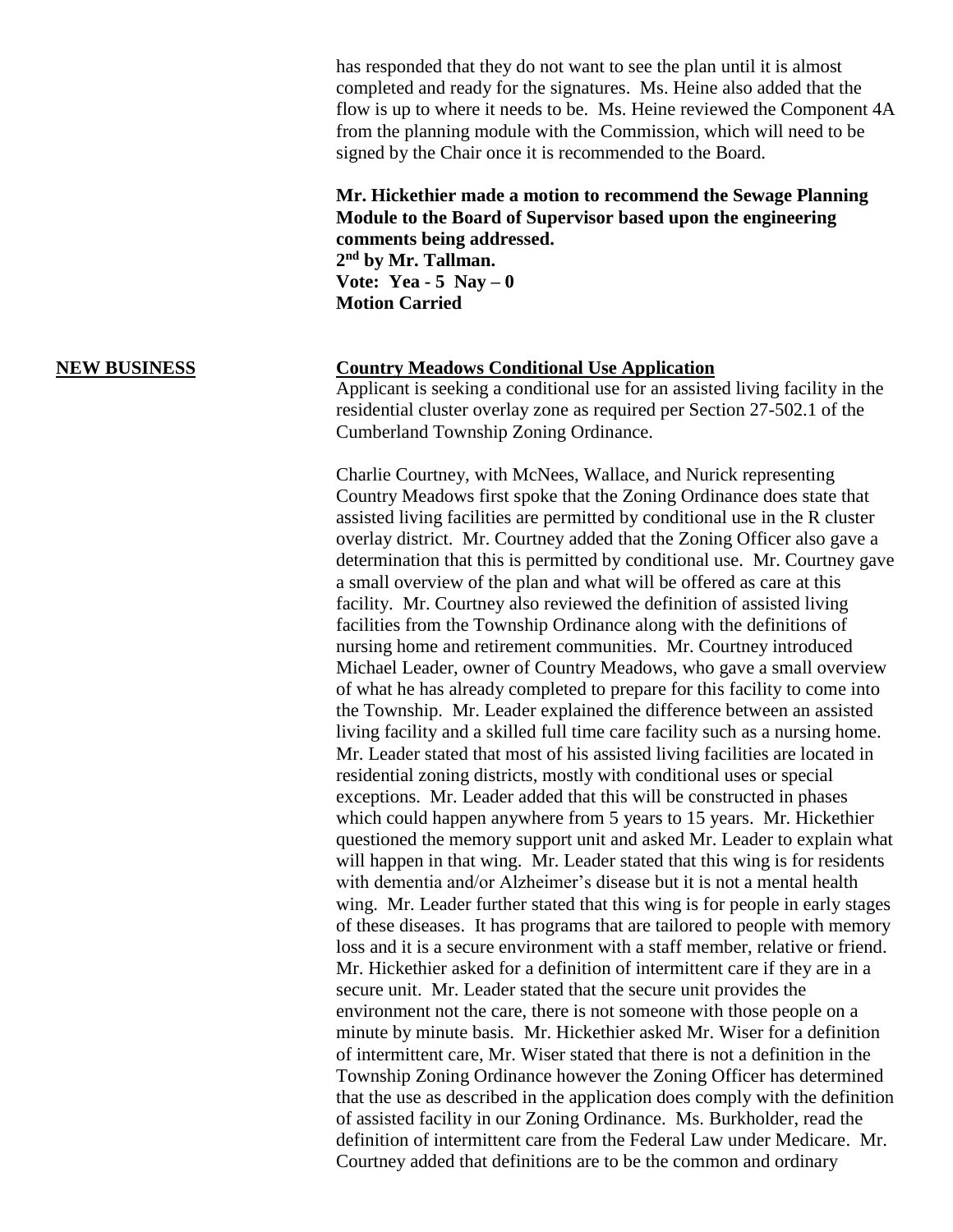has responded that they do not want to see the plan until it is almost completed and ready for the signatures. Ms. Heine also added that the flow is up to where it needs to be. Ms. Heine reviewed the Component 4A from the planning module with the Commission, which will need to be signed by the Chair once it is recommended to the Board.

### **Mr. Hickethier made a motion to recommend the Sewage Planning Module to the Board of Supervisor based upon the engineering comments being addressed.**

**2 nd by Mr. Tallman. Vote:** Yea -  $5$  Nay  $-0$ **Motion Carried**

### **NEW BUSINESS Country Meadows Conditional Use Application**

Applicant is seeking a conditional use for an assisted living facility in the residential cluster overlay zone as required per Section 27-502.1 of the Cumberland Township Zoning Ordinance.

Charlie Courtney, with McNees, Wallace, and Nurick representing Country Meadows first spoke that the Zoning Ordinance does state that assisted living facilities are permitted by conditional use in the R cluster overlay district. Mr. Courtney added that the Zoning Officer also gave a determination that this is permitted by conditional use. Mr. Courtney gave a small overview of the plan and what will be offered as care at this facility. Mr. Courtney also reviewed the definition of assisted living facilities from the Township Ordinance along with the definitions of nursing home and retirement communities. Mr. Courtney introduced Michael Leader, owner of Country Meadows, who gave a small overview of what he has already completed to prepare for this facility to come into the Township. Mr. Leader explained the difference between an assisted living facility and a skilled full time care facility such as a nursing home. Mr. Leader stated that most of his assisted living facilities are located in residential zoning districts, mostly with conditional uses or special exceptions. Mr. Leader added that this will be constructed in phases which could happen anywhere from 5 years to 15 years. Mr. Hickethier questioned the memory support unit and asked Mr. Leader to explain what will happen in that wing. Mr. Leader stated that this wing is for residents with dementia and/or Alzheimer's disease but it is not a mental health wing. Mr. Leader further stated that this wing is for people in early stages of these diseases. It has programs that are tailored to people with memory loss and it is a secure environment with a staff member, relative or friend. Mr. Hickethier asked for a definition of intermittent care if they are in a secure unit. Mr. Leader stated that the secure unit provides the environment not the care, there is not someone with those people on a minute by minute basis. Mr. Hickethier asked Mr. Wiser for a definition of intermittent care, Mr. Wiser stated that there is not a definition in the Township Zoning Ordinance however the Zoning Officer has determined that the use as described in the application does comply with the definition of assisted facility in our Zoning Ordinance. Ms. Burkholder, read the definition of intermittent care from the Federal Law under Medicare. Mr. Courtney added that definitions are to be the common and ordinary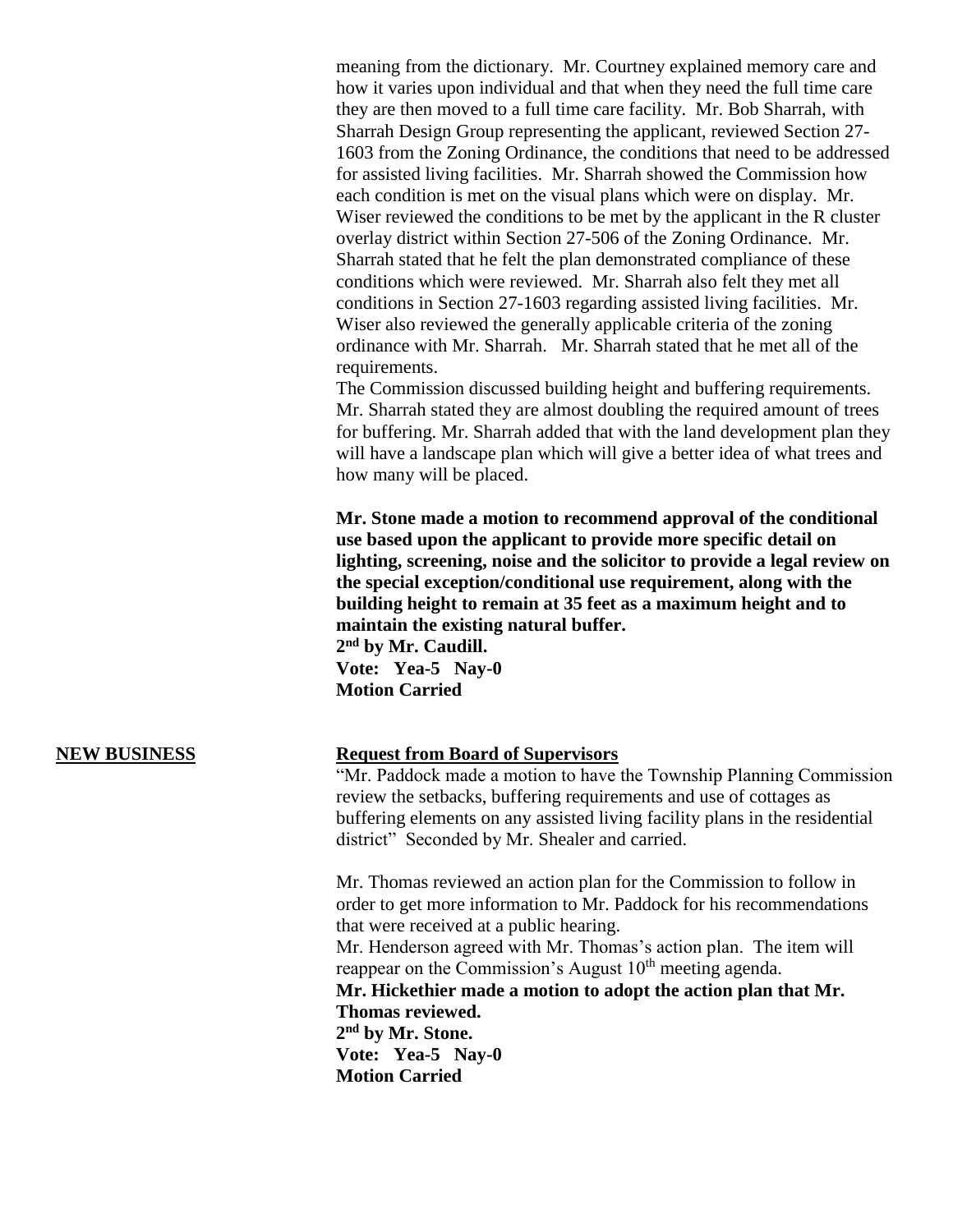meaning from the dictionary. Mr. Courtney explained memory care and how it varies upon individual and that when they need the full time care they are then moved to a full time care facility. Mr. Bob Sharrah, with Sharrah Design Group representing the applicant, reviewed Section 27- 1603 from the Zoning Ordinance, the conditions that need to be addressed for assisted living facilities. Mr. Sharrah showed the Commission how each condition is met on the visual plans which were on display. Mr. Wiser reviewed the conditions to be met by the applicant in the R cluster overlay district within Section 27-506 of the Zoning Ordinance. Mr. Sharrah stated that he felt the plan demonstrated compliance of these conditions which were reviewed. Mr. Sharrah also felt they met all conditions in Section 27-1603 regarding assisted living facilities. Mr. Wiser also reviewed the generally applicable criteria of the zoning ordinance with Mr. Sharrah. Mr. Sharrah stated that he met all of the requirements.

The Commission discussed building height and buffering requirements. Mr. Sharrah stated they are almost doubling the required amount of trees for buffering. Mr. Sharrah added that with the land development plan they will have a landscape plan which will give a better idea of what trees and how many will be placed.

**Mr. Stone made a motion to recommend approval of the conditional use based upon the applicant to provide more specific detail on lighting, screening, noise and the solicitor to provide a legal review on the special exception/conditional use requirement, along with the building height to remain at 35 feet as a maximum height and to maintain the existing natural buffer.** 

**2 nd by Mr. Caudill. Vote: Yea-5 Nay-0 Motion Carried**

### **NEW BUSINESS Request from Board of Supervisors**

"Mr. Paddock made a motion to have the Township Planning Commission review the setbacks, buffering requirements and use of cottages as buffering elements on any assisted living facility plans in the residential district" Seconded by Mr. Shealer and carried.

Mr. Thomas reviewed an action plan for the Commission to follow in order to get more information to Mr. Paddock for his recommendations that were received at a public hearing.

Mr. Henderson agreed with Mr. Thomas's action plan. The item will reappear on the Commission's August  $10<sup>th</sup>$  meeting agenda.

**Mr. Hickethier made a motion to adopt the action plan that Mr. Thomas reviewed.**

**2 nd by Mr. Stone. Vote: Yea-5 Nay-0 Motion Carried**